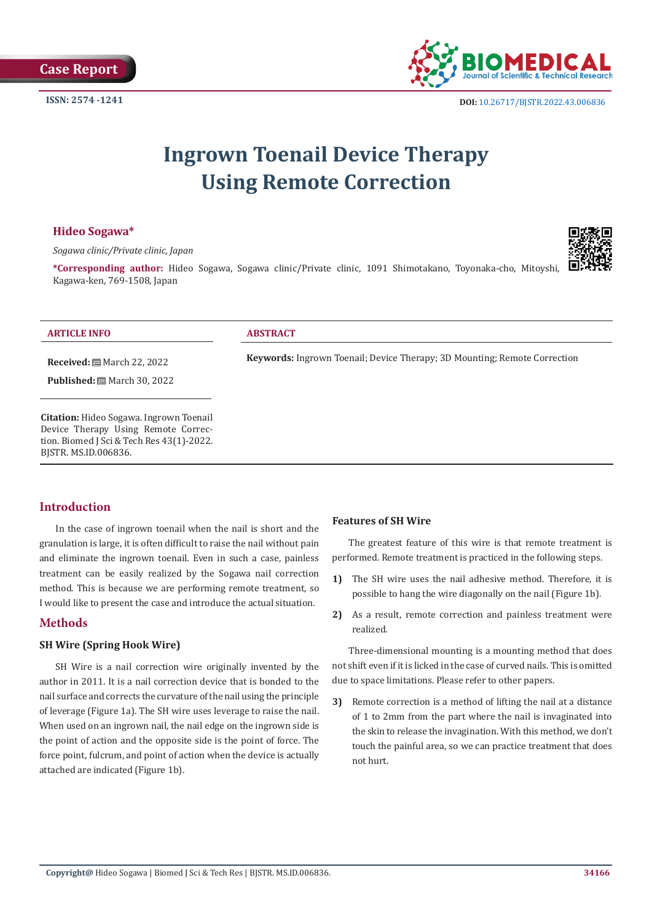

**ISSN:** 2574 -1241 **DOI:** [10.26717/BJSTR.2022.43.006836](https://dx.doi.org/10.26717/BJSTR.2022.43.006836)

# **Ingrown Toenail Device Therapy Using Remote Correction**

# **Hideo Sogawa\***

*Sogawa clinic/Private clinic, Japan*



**\*Corresponding author:** Hideo Sogawa, Sogawa clinic/Private clinic, 1091 Shimotakano, Toyonaka-cho, Mitoyshi, Kagawa-ken, 769-1508, Japan

#### **ARTICLE INFO ABSTRACT**

**Keywords:** Ingrown Toenail; Device Therapy; 3D Mounting; Remote Correction

**Citation:** Hideo Sogawa. Ingrown Toenail Device Therapy Using Remote Correction. Biomed J Sci & Tech Res 43(1)-2022.

**Received:** March 22, 2022 **Published:** ■ March 30, 2022

# **Introduction**

BJSTR. MS.ID.006836.

In the case of ingrown toenail when the nail is short and the granulation is large, it is often difficult to raise the nail without pain and eliminate the ingrown toenail. Even in such a case, painless treatment can be easily realized by the Sogawa nail correction method. This is because we are performing remote treatment, so I would like to present the case and introduce the actual situation.

# **Methods**

# **SH Wire (Spring Hook Wire)**

SH Wire is a nail correction wire originally invented by the author in 2011. It is a nail correction device that is bonded to the nail surface and corrects the curvature of the nail using the principle of leverage (Figure 1a). The SH wire uses leverage to raise the nail. When used on an ingrown nail, the nail edge on the ingrown side is the point of action and the opposite side is the point of force. The force point, fulcrum, and point of action when the device is actually attached are indicated (Figure 1b).

#### **Features of SH Wire**

The greatest feature of this wire is that remote treatment is performed. Remote treatment is practiced in the following steps.

- **1)** The SH wire uses the nail adhesive method. Therefore, it is possible to hang the wire diagonally on the nail (Figure 1b).
- **2)** As a result, remote correction and painless treatment were realized.

Three-dimensional mounting is a mounting method that does not shift even if it is licked in the case of curved nails. This is omitted due to space limitations. Please refer to other papers.

**3)** Remote correction is a method of lifting the nail at a distance of 1 to 2mm from the part where the nail is invaginated into the skin to release the invagination. With this method, we don't touch the painful area, so we can practice treatment that does not hurt.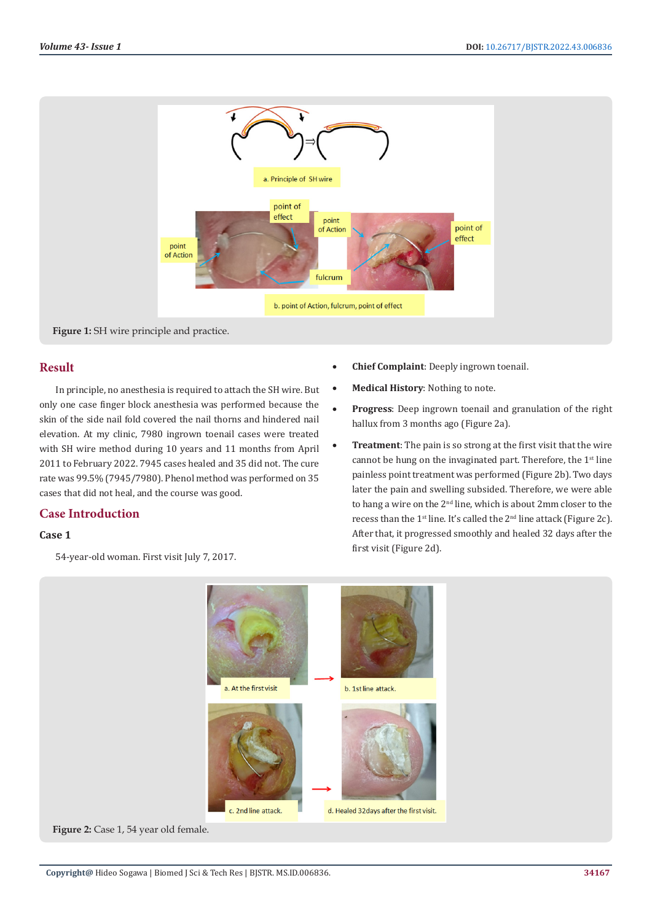

# **Result**

In principle, no anesthesia is required to attach the SH wire. But only one case finger block anesthesia was performed because the skin of the side nail fold covered the nail thorns and hindered nail elevation. At my clinic, 7980 ingrown toenail cases were treated with SH wire method during 10 years and 11 months from April 2011 to February 2022. 7945 cases healed and 35 did not. The cure rate was 99.5% (7945/7980). Phenol method was performed on 35 cases that did not heal, and the course was good.

# **Case Introduction**

# **Case 1**

54-year-old woman. First visit July 7, 2017.

- **Chief Complaint:** Deeply ingrown toenail.
- • **Medical History**: Nothing to note.
- **Progress**: Deep ingrown toenail and granulation of the right hallux from 3 months ago (Figure 2a).
- **Treatment**: The pain is so strong at the first visit that the wire cannot be hung on the invaginated part. Therefore, the  $1<sup>st</sup>$  line painless point treatment was performed (Figure 2b). Two days later the pain and swelling subsided. Therefore, we were able to hang a wire on the 2<sup>nd</sup> line, which is about 2mm closer to the recess than the  $1<sup>st</sup>$  line. It's called the  $2<sup>nd</sup>$  line attack (Figure 2c). After that, it progressed smoothly and healed 32 days after the first visit (Figure 2d).

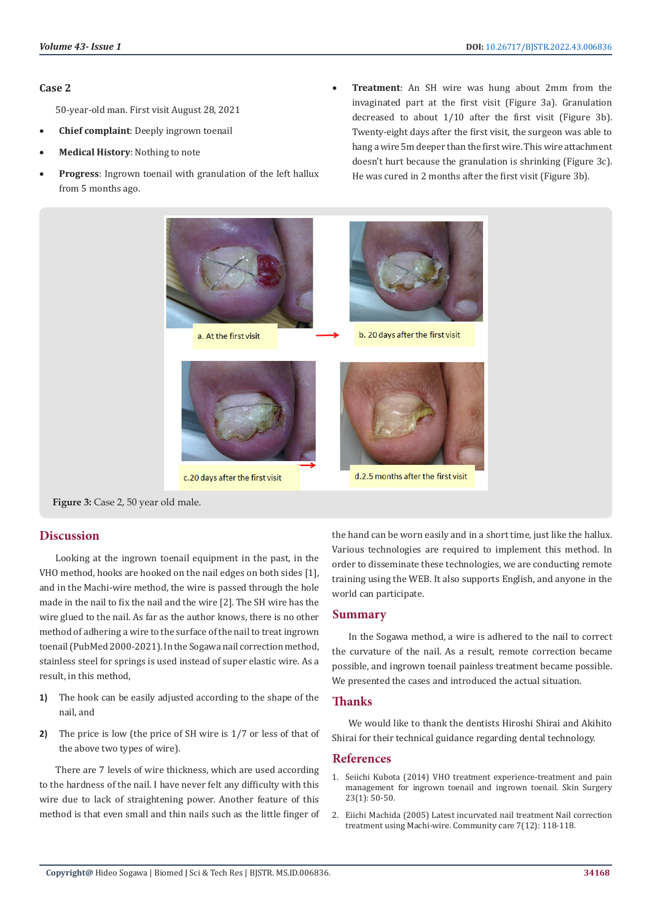#### **Case 2**

50-year-old man. First visit August 28, 2021

- **Chief complaint**: Deeply ingrown toenail
- **Medical History: Nothing to note**
- Progress: Ingrown toenail with granulation of the left hallux from 5 months ago.
- Treatment: An SH wire was hung about 2mm from the invaginated part at the first visit (Figure 3a). Granulation decreased to about 1/10 after the first visit (Figure 3b). Twenty-eight days after the first visit, the surgeon was able to hang a wire 5m deeper than the first wire. This wire attachment doesn't hurt because the granulation is shrinking (Figure 3c). He was cured in 2 months after the first visit (Figure 3b).



**Figure 3:** Case 2, 50 year old male.

# **Discussion**

Looking at the ingrown toenail equipment in the past, in the VHO method, hooks are hooked on the nail edges on both sides [1], and in the Machi-wire method, the wire is passed through the hole made in the nail to fix the nail and the wire [2]. The SH wire has the wire glued to the nail. As far as the author knows, there is no other method of adhering a wire to the surface of the nail to treat ingrown toenail (PubMed 2000-2021). In the Sogawa nail correction method, stainless steel for springs is used instead of super elastic wire. As a result, in this method,

- **1)** The hook can be easily adjusted according to the shape of the nail, and
- **2)** The price is low (the price of SH wire is 1/7 or less of that of the above two types of wire).

There are 7 levels of wire thickness, which are used according to the hardness of the nail. I have never felt any difficulty with this wire due to lack of straightening power. Another feature of this method is that even small and thin nails such as the little finger of the hand can be worn easily and in a short time, just like the hallux. Various technologies are required to implement this method. In order to disseminate these technologies, we are conducting remote training using the WEB. It also supports English, and anyone in the world can participate.

# **Summary**

In the Sogawa method, a wire is adhered to the nail to correct the curvature of the nail. As a result, remote correction became possible, and ingrown toenail painless treatment became possible. We presented the cases and introduced the actual situation.

# **Thanks**

We would like to thank the dentists Hiroshi Shirai and Akihito Shirai for their technical guidance regarding dental technology.

#### **References**

- 1. Seiichi Kubota (2014) VHO treatment experience-treatment and pain management for ingrown toenail and ingrown toenail. Skin Surgery 23(1): 50-50.
- 2. Eiichi Machida (2005) Latest incurvated nail treatment Nail correction treatment using Machi-wire. Community care 7(12): 118-118.